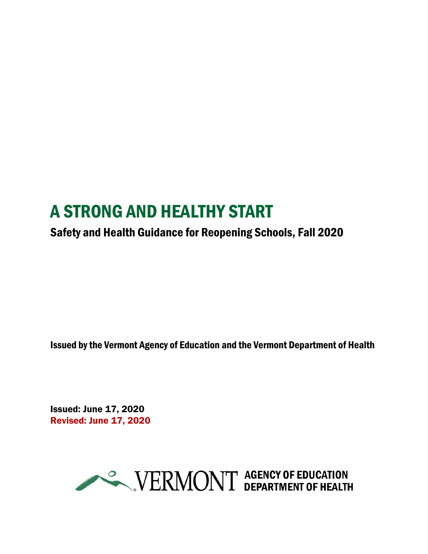# A STRONG AND HEALTHY START

Safety and Health Guidance for Reopening Schools, Fall 2020

Issued by the Vermont Agency of Education and the Vermont Department of Health

Issued: June 17, 2020 Revised: June 17, 2020

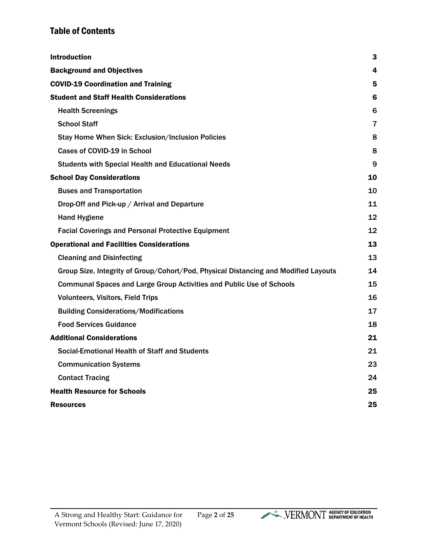#### Table of Contents

| <b>Introduction</b>                                                                 | 3  |
|-------------------------------------------------------------------------------------|----|
| <b>Background and Objectives</b>                                                    | 4  |
| <b>COVID-19 Coordination and Training</b>                                           | 5  |
| <b>Student and Staff Health Considerations</b>                                      | 6  |
| <b>Health Screenings</b>                                                            | 6  |
| <b>School Staff</b>                                                                 | 7  |
| <b>Stay Home When Sick: Exclusion/Inclusion Policies</b>                            | 8  |
| Cases of COVID-19 in School                                                         | 8  |
| <b>Students with Special Health and Educational Needs</b>                           | 9  |
| <b>School Day Considerations</b>                                                    | 10 |
| <b>Buses and Transportation</b>                                                     | 10 |
| Drop-Off and Pick-up / Arrival and Departure                                        | 11 |
| <b>Hand Hygiene</b>                                                                 | 12 |
| <b>Facial Coverings and Personal Protective Equipment</b>                           | 12 |
| <b>Operational and Facilities Considerations</b>                                    | 13 |
| <b>Cleaning and Disinfecting</b>                                                    | 13 |
| Group Size, Integrity of Group/Cohort/Pod, Physical Distancing and Modified Layouts | 14 |
| <b>Communal Spaces and Large Group Activities and Public Use of Schools</b>         | 15 |
| <b>Volunteers, Visitors, Field Trips</b>                                            | 16 |
| <b>Building Considerations/Modifications</b>                                        | 17 |
| <b>Food Services Guidance</b>                                                       | 18 |
| <b>Additional Considerations</b>                                                    | 21 |
| Social-Emotional Health of Staff and Students                                       | 21 |
| <b>Communication Systems</b>                                                        | 23 |
| <b>Contact Tracing</b>                                                              | 24 |
| <b>Health Resource for Schools</b>                                                  | 25 |
| <b>Resources</b>                                                                    | 25 |

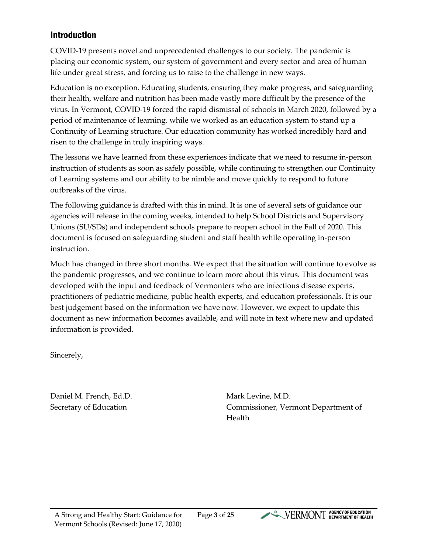#### <span id="page-2-0"></span>Introduction

COVID-19 presents novel and unprecedented challenges to our society. The pandemic is placing our economic system, our system of government and every sector and area of human life under great stress, and forcing us to raise to the challenge in new ways.

Education is no exception. Educating students, ensuring they make progress, and safeguarding their health, welfare and nutrition has been made vastly more difficult by the presence of the virus. In Vermont, COVID-19 forced the rapid dismissal of schools in March 2020, followed by a period of maintenance of learning, while we worked as an education system to stand up a Continuity of Learning structure. Our education community has worked incredibly hard and risen to the challenge in truly inspiring ways.

The lessons we have learned from these experiences indicate that we need to resume in-person instruction of students as soon as safely possible, while continuing to strengthen our Continuity of Learning systems and our ability to be nimble and move quickly to respond to future outbreaks of the virus.

The following guidance is drafted with this in mind. It is one of several sets of guidance our agencies will release in the coming weeks, intended to help School Districts and Supervisory Unions (SU/SDs) and independent schools prepare to reopen school in the Fall of 2020. This document is focused on safeguarding student and staff health while operating in-person instruction.

Much has changed in three short months. We expect that the situation will continue to evolve as the pandemic progresses, and we continue to learn more about this virus. This document was developed with the input and feedback of Vermonters who are infectious disease experts, practitioners of pediatric medicine, public health experts, and education professionals. It is our best judgement based on the information we have now. However, we expect to update this document as new information becomes available, and will note in text where new and updated information is provided.

Sincerely,

Daniel M. French, Ed.D. Secretary of Education

Mark Levine, M.D. Commissioner, Vermont Department of Health

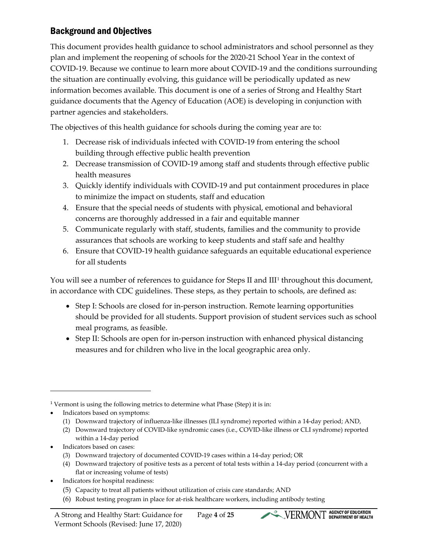## <span id="page-3-0"></span>Background and Objectives

This document provides health guidance to school administrators and school personnel as they plan and implement the reopening of schools for the 2020-21 School Year in the context of COVID-19. Because we continue to learn more about COVID-19 and the conditions surrounding the situation are continually evolving, this guidance will be periodically updated as new information becomes available. This document is one of a series of Strong and Healthy Start guidance documents that the Agency of Education (AOE) is developing in conjunction with partner agencies and stakeholders.

The objectives of this health guidance for schools during the coming year are to:

- 1. Decrease risk of individuals infected with COVID-19 from entering the school building through effective public health prevention
- 2. Decrease transmission of COVID-19 among staff and students through effective public health measures
- 3. Quickly identify individuals with COVID-19 and put containment procedures in place to minimize the impact on students, staff and education
- 4. Ensure that the special needs of students with physical, emotional and behavioral concerns are thoroughly addressed in a fair and equitable manner
- 5. Communicate regularly with staff, students, families and the community to provide assurances that schools are working to keep students and staff safe and healthy
- 6. Ensure that COVID-19 health guidance safeguards an equitable educational experience for all students

You will see a number of references to guidance for Steps II and III<sup>[1](#page-3-1)</sup> throughout this document, in accordance with CDC guidelines. These steps, as they pertain to schools, are defined as:

- Step I: Schools are closed for in-person instruction. Remote learning opportunities should be provided for all students. Support provision of student services such as school meal programs, as feasible.
- Step II: Schools are open for in-person instruction with enhanced physical distancing measures and for children who live in the local geographic area only.

- Indicators based on cases:
	- (3) Downward trajectory of documented COVID-19 cases within a 14-day period; OR
	- (4) Downward trajectory of positive tests as a percent of total tests within a 14-day period (concurrent with a flat or increasing volume of tests)
- Indicators for hospital readiness:

<span id="page-3-1"></span><sup>&</sup>lt;sup>1</sup> Vermont is using the following metrics to determine what Phase (Step) it is in:

<sup>•</sup> Indicators based on symptoms:

<sup>(1)</sup> Downward trajectory of influenza-like illnesses (ILI syndrome) reported within a 14-day period; AND,

<sup>(2)</sup> Downward trajectory of COVID-like syndromic cases (i.e., COVID-like illness or CLI syndrome) reported within a 14-day period

<sup>(5)</sup> Capacity to treat all patients without utilization of crisis care standards; AND

<sup>(6)</sup> Robust testing program in place for at-risk healthcare workers, including antibody testing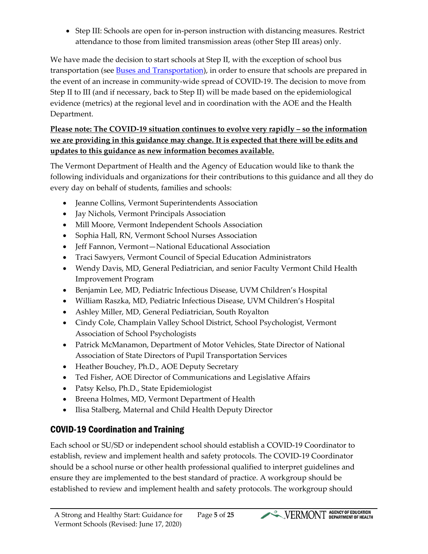• Step III: Schools are open for in-person instruction with distancing measures. Restrict attendance to those from limited transmission areas (other Step III areas) only.

We have made the decision to start schools at Step II, with the exception of school bus transportation (see [Buses and Transportation\)](#page-9-1), in order to ensure that schools are prepared in the event of an increase in community-wide spread of COVID-19. The decision to move from Step II to III (and if necessary, back to Step II) will be made based on the epidemiological evidence (metrics) at the regional level and in coordination with the AOE and the Health Department.

#### **Please note: The COVID-19 situation continues to evolve very rapidly – so the information we are providing in this guidance may change. It is expected that there will be edits and updates to this guidance as new information becomes available.**

The Vermont Department of Health and the Agency of Education would like to thank the following individuals and organizations for their contributions to this guidance and all they do every day on behalf of students, families and schools:

- Jeanne Collins, Vermont Superintendents Association
- Jay Nichols, Vermont Principals Association
- Mill Moore, Vermont Independent Schools Association
- Sophia Hall, RN, Vermont School Nurses Association
- Jeff Fannon, Vermont—National Educational Association
- Traci Sawyers, Vermont Council of Special Education Administrators
- Wendy Davis, MD, General Pediatrician, and senior Faculty Vermont Child Health Improvement Program
- Benjamin Lee, MD, Pediatric Infectious Disease, UVM Children's Hospital
- William Raszka, MD, Pediatric Infectious Disease, UVM Children's Hospital
- Ashley Miller, MD, General Pediatrician, South Royalton
- Cindy Cole, Champlain Valley School District, School Psychologist, Vermont Association of School Psychologists
- Patrick McManamon, Department of Motor Vehicles, State Director of National Association of State Directors of Pupil Transportation Services
- Heather Bouchey, Ph.D., AOE Deputy Secretary
- Ted Fisher, AOE Director of Communications and Legislative Affairs
- Patsy Kelso, Ph.D., State Epidemiologist
- Breena Holmes, MD, Vermont Department of Health
- Ilisa Stalberg, Maternal and Child Health Deputy Director

# <span id="page-4-0"></span>COVID-19 Coordination and Training

Each school or SU/SD or independent school should establish a COVID-19 Coordinator to establish, review and implement health and safety protocols. The COVID-19 Coordinator should be a school nurse or other health professional qualified to interpret guidelines and ensure they are implemented to the best standard of practice. A workgroup should be established to review and implement health and safety protocols. The workgroup should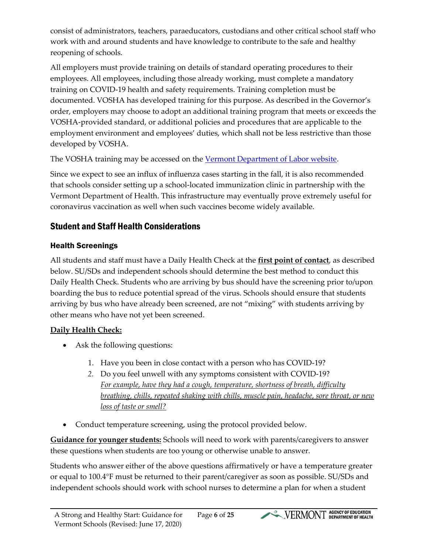consist of administrators, teachers, paraeducators, custodians and other critical school staff who work with and around students and have knowledge to contribute to the safe and healthy reopening of schools.

All employers must provide training on details of standard operating procedures to their employees. All employees, including those already working, must complete a mandatory training on COVID-19 health and safety requirements. Training completion must be documented. VOSHA has developed training for this purpose. As described in the Governor's order, employers may choose to adopt an additional training program that meets or exceeds the VOSHA-provided standard, or additional policies and procedures that are applicable to the employment environment and employees' duties, which shall not be less restrictive than those developed by VOSHA.

The VOSHA training may be accessed on the [Vermont Department of Labor website.](https://labor.vermont.gov/VOSHA)

Since we expect to see an influx of influenza cases starting in the fall, it is also recommended that schools consider setting up a school-located immunization clinic in partnership with the Vermont Department of Health. This infrastructure may eventually prove extremely useful for coronavirus vaccination as well when such vaccines become widely available.

# <span id="page-5-0"></span>Student and Staff Health Considerations

## <span id="page-5-1"></span>Health Screenings

All students and staff must have a Daily Health Check at the **first point of contact**, as described below. SU/SDs and independent schools should determine the best method to conduct this Daily Health Check. Students who are arriving by bus should have the screening prior to/upon boarding the bus to reduce potential spread of the virus. Schools should ensure that students arriving by bus who have already been screened, are not "mixing" with students arriving by other means who have not yet been screened.

### **Daily Health Check:**

- Ask the following questions:
	- 1. Have you been in close contact with a person who has COVID-19?
	- *2.* Do you feel unwell with any symptoms consistent with COVID-19? *For example, have they had a cough, temperature, shortness of breath, difficulty breathing, chills, repeated shaking with chills, muscle pain, headache, sore throat, or new loss of taste or smell?*
- Conduct temperature screening, using the protocol provided below.

**Guidance for younger students:** Schools will need to work with parents/caregivers to answer these questions when students are too young or otherwise unable to answer.

Students who answer either of the above questions affirmatively or have a temperature greater or equal to 100.4°F must be returned to their parent/caregiver as soon as possible. SU/SDs and independent schools should work with school nurses to determine a plan for when a student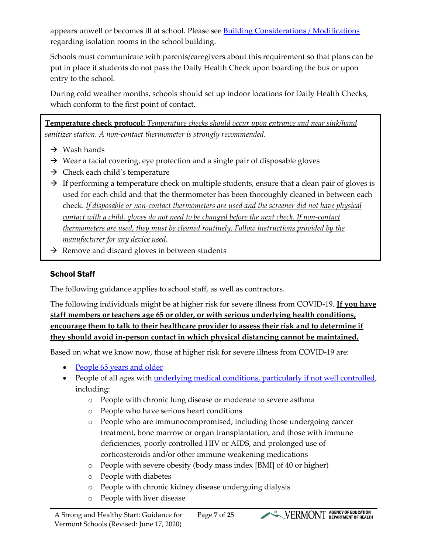appears unwell or becomes ill at school. Please see **Building Considerations / Modifications** regarding isolation rooms in the school building.

Schools must communicate with parents/caregivers about this requirement so that plans can be put in place if students do not pass the Daily Health Check upon boarding the bus or upon entry to the school.

During cold weather months, schools should set up indoor locations for Daily Health Checks, which conform to the first point of contact.

**Temperature check protocol:** *Temperature checks should occur upon entrance and near sink/hand sanitizer station. A non-contact thermometer is strongly recommended.* 

- $\rightarrow$  Wash hands
- $\rightarrow$  Wear a facial covering, eye protection and a single pair of disposable gloves
- $\rightarrow$  Check each child's temperature
- $\rightarrow$  If performing a temperature check on multiple students, ensure that a clean pair of gloves is used for each child and that the thermometer has been thoroughly cleaned in between each check. *If disposable or non-contact thermometers are used and the screener did not have physical contact with a child, gloves do not need to be changed before the next check. If non-contact thermometers are used, they must be cleaned routinely. Follow instructions provided by the manufacturer for any device used.*
- $\rightarrow$  Remove and discard gloves in between students

#### <span id="page-6-0"></span>School Staff

The following guidance applies to school staff, as well as contractors.

The following individuals might be at higher risk for severe illness from COVID-19. **If you have staff members or teachers age 65 or older, or with serious underlying health conditions, encourage them to talk to their healthcare provider to assess their risk and to determine if they should avoid in-person contact in which physical distancing cannot be maintained.**

Based on what we know now, those at higher risk for severe illness from COVID-19 are:

- [People 65 years and older](https://www.cdc.gov/coronavirus/2019-ncov/need-extra-precautions/older-adults.html)
- People of all ages with <u>underlying medical conditions, particularly if not well controlled</u>, including:
	- o People with chronic lung disease or moderate to severe asthma
	- o People who have serious heart conditions
	- o People who are immunocompromised, including those undergoing cancer treatment, bone marrow or organ transplantation, and those with immune deficiencies, poorly controlled HIV or AIDS, and prolonged use of corticosteroids and/or other immune weakening medications
	- o People with severe obesity (body mass index [BMI] of 40 or higher)
	- o People with diabetes
	- o People with chronic kidney disease undergoing dialysis
	- o People with liver disease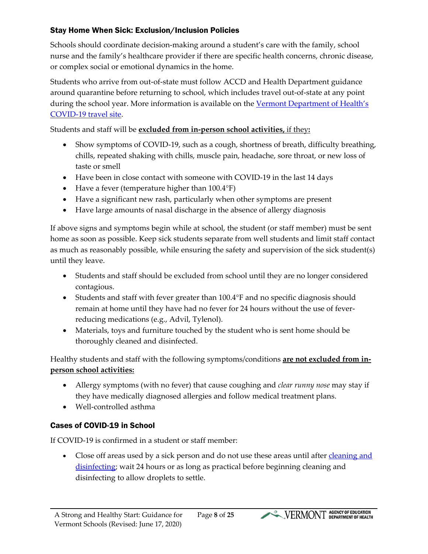#### <span id="page-7-0"></span>Stay Home When Sick: Exclusion/Inclusion Policies

Schools should coordinate decision-making around a student's care with the family, school nurse and the family's healthcare provider if there are specific health concerns, chronic disease, or complex social or emotional dynamics in the home.

Students who arrive from out-of-state must follow ACCD and Health Department guidance around quarantine before returning to school, which includes travel out-of-state at any point during the school year. More information is available on the Vermont Department of Health's [COVID-19 travel site.](https://www.healthvermont.gov/response/coronavirus-covid-19/traveling-vermont)

Students and staff will be **excluded from in-person school activities,** if they**:**

- Show symptoms of COVID-19, such as a cough, shortness of breath, difficulty breathing, chills, repeated shaking with chills, muscle pain, headache, sore throat, or new loss of taste or smell
- Have been in close contact with someone with COVID-19 in the last 14 days
- Have a fever (temperature higher than 100.4°F)
- Have a significant new rash, particularly when other symptoms are present
- Have large amounts of nasal discharge in the absence of allergy diagnosis

If above signs and symptoms begin while at school, the student (or staff member) must be sent home as soon as possible. Keep sick students separate from well students and limit staff contact as much as reasonably possible, while ensuring the safety and supervision of the sick student(s) until they leave.

- Students and staff should be excluded from school until they are no longer considered contagious.
- Students and staff with fever greater than 100.4°F and no specific diagnosis should remain at home until they have had no fever for 24 hours without the use of feverreducing medications (e.g., Advil, Tylenol).
- Materials, toys and furniture touched by the student who is sent home should be thoroughly cleaned and disinfected.

Healthy students and staff with the following symptoms/conditions **are not excluded from inperson school activities:**

- Allergy symptoms (with no fever) that cause coughing and *clear runny nose* may stay if they have medically diagnosed allergies and follow medical treatment plans.
- Well-controlled asthma

### <span id="page-7-1"></span>Cases of COVID-19 in School

If COVID-19 is confirmed in a student or staff member:

• Close off areas used by a sick person and do not use these areas until after cleaning and [disinfecting;](https://www.cdc.gov/coronavirus/2019-ncov/community/clean-disinfect/index.html) wait 24 hours or as long as practical before beginning cleaning and disinfecting to allow droplets to settle.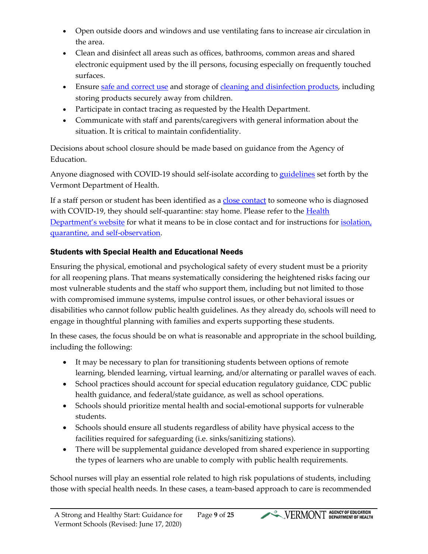- Open outside doors and windows and use ventilating fans to increase air circulation in the area.
- Clean and disinfect all areas such as offices, bathrooms, common areas and shared electronic equipment used by the ill persons, focusing especially on frequently touched surfaces.
- Ensure [safe and correct use](https://www.cdc.gov/coronavirus/2019-ncov/community/disinfecting-building-facility.html) and storage of [cleaning and disinfection products,](https://www.epa.gov/pesticide-registration/list-n-disinfectants-use-against-sars-cov-2) including storing products securely away from children.
- Participate in contact tracing as requested by the Health Department.
- Communicate with staff and parents/caregivers with general information about the situation. It is critical to maintain confidentiality.

Decisions about school closure should be made based on guidance from the Agency of Education.

Anyone diagnosed with COVID-19 should self-isolate according to [guidelines](https://www.healthvermont.gov/sites/default/files/documents/pdf/COVID-19-chart-observation-isolation-quarantine_final.pdf) set forth by the Vermont Department of Health.

If a staff person or student has been identified as a [close contact](https://www.healthvermont.gov/sites/default/files/documents/pdf/COVID-19_What-to-do-if-you-are-a-close-contact-of-someone-with-COVID-19_final.pdf) to someone who is diagnosed with COVID-19, they should self-quarantine: stay home. Please refer to the **Health** [Department's website](https://www.healthvermont.gov/response/coronavirus-covid-19/about-coronavirus-disease-covid-19) for what it means to be in close contact and for instructions for [isolation,](https://www.healthvermont.gov/sites/default/files/documents/pdf/COVID-19-chart-observation-isolation-quarantine_final.pdf)  [quarantine, and self-observation.](https://www.healthvermont.gov/sites/default/files/documents/pdf/COVID-19-chart-observation-isolation-quarantine_final.pdf)

## <span id="page-8-0"></span>Students with Special Health and Educational Needs

Ensuring the physical, emotional and psychological safety of every student must be a priority for all reopening plans. That means systematically considering the heightened risks facing our most vulnerable students and the staff who support them, including but not limited to those with compromised immune systems, impulse control issues, or other behavioral issues or disabilities who cannot follow public health guidelines. As they already do, schools will need to engage in thoughtful planning with families and experts supporting these students.

In these cases, the focus should be on what is reasonable and appropriate in the school building, including the following:

- It may be necessary to plan for transitioning students between options of remote learning, blended learning, virtual learning, and/or alternating or parallel waves of each.
- School practices should account for special education regulatory guidance, CDC public health guidance, and federal/state guidance, as well as school operations.
- Schools should prioritize mental health and social-emotional supports for vulnerable students.
- Schools should ensure all students regardless of ability have physical access to the facilities required for safeguarding (i.e. sinks/sanitizing stations).
- There will be supplemental guidance developed from shared experience in supporting the types of learners who are unable to comply with public health requirements.

School nurses will play an essential role related to high risk populations of students, including those with special health needs. In these cases, a team-based approach to care is recommended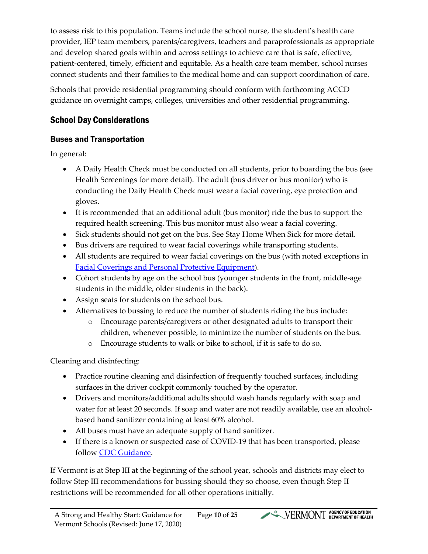to assess risk to this population. Teams include the school nurse, the student's health care provider, IEP team members, parents/caregivers, teachers and paraprofessionals as appropriate and develop shared goals within and across settings to achieve care that is safe, effective, patient-centered, timely, efficient and equitable. As a health care team member, school nurses connect students and their families to the medical home and can support coordination of care.

Schools that provide residential programming should conform with forthcoming ACCD guidance on overnight camps, colleges, universities and other residential programming.

# <span id="page-9-0"></span>School Day Considerations

## <span id="page-9-1"></span>Buses and Transportation

In general:

- A Daily Health Check must be conducted on all students, prior to boarding the bus (see [Health Screenings](#page-5-1) for more detail). The adult (bus driver or bus monitor) who is conducting the Daily Health Check must wear a facial covering, eye protection and gloves.
- It is recommended that an additional adult (bus monitor) ride the bus to support the required health screening. This bus monitor must also wear a facial covering.
- Sick students should not get on the bus. See [Stay Home When Sick](#page-7-0) for more detail.
- Bus drivers are required to wear facial coverings while transporting students.
- All students are required to wear facial coverings on the bus (with noted exceptions in [Facial Coverings and Personal Protective Equipment\)](#page-11-1).
- Cohort students by age on the school bus (younger students in the front, middle-age students in the middle, older students in the back).
- Assign seats for students on the school bus.
- Alternatives to bussing to reduce the number of students riding the bus include:
	- o Encourage parents/caregivers or other designated adults to transport their children, whenever possible, to minimize the number of students on the bus.
	- o Encourage students to walk or bike to school, if it is safe to do so.

Cleaning and disinfecting:

- Practice routine cleaning and disinfection of frequently touched surfaces, including surfaces in the driver cockpit commonly touched by the operator.
- Drivers and monitors/additional adults should wash hands regularly with soap and water for at least 20 seconds. If soap and water are not readily available, use an alcoholbased hand sanitizer containing at least 60% alcohol.
- All buses must have an adequate supply of hand sanitizer.
- If there is a known or suspected case of COVID-19 that has been transported, please follow [CDC Guidance.](https://www.cdc.gov/coronavirus/2019-ncov/community/organizations/disinfecting-transport-vehicles.html)

If Vermont is at Step III at the beginning of the school year, schools and districts may elect to follow Step III recommendations for bussing should they so choose, even though Step II restrictions will be recommended for all other operations initially.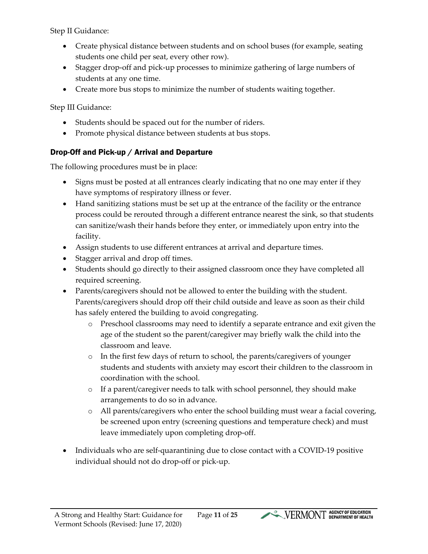Step II Guidance:

- Create physical distance between students and on school buses (for example, seating students one child per seat, every other row).
- Stagger drop-off and pick-up processes to minimize gathering of large numbers of students at any one time.
- Create more bus stops to minimize the number of students waiting together.

Step III Guidance:

- Students should be spaced out for the number of riders.
- Promote physical distance between students at bus stops.

#### <span id="page-10-0"></span>Drop-Off and Pick-up / Arrival and Departure

The following procedures must be in place:

- Signs must be posted at all entrances clearly indicating that no one may enter if they have symptoms of respiratory illness or fever.
- Hand sanitizing stations must be set up at the entrance of the facility or the entrance process could be rerouted through a different entrance nearest the sink, so that students can sanitize/wash their hands before they enter, or immediately upon entry into the facility.
- Assign students to use different entrances at arrival and departure times.
- Stagger arrival and drop off times.
- Students should go directly to their assigned classroom once they have completed all required screening.
- Parents/caregivers should not be allowed to enter the building with the student. Parents/caregivers should drop off their child outside and leave as soon as their child has safely entered the building to avoid congregating.
	- o Preschool classrooms may need to identify a separate entrance and exit given the age of the student so the parent/caregiver may briefly walk the child into the classroom and leave.
	- o In the first few days of return to school, the parents/caregivers of younger students and students with anxiety may escort their children to the classroom in coordination with the school.
	- $\circ$  If a parent/caregiver needs to talk with school personnel, they should make arrangements to do so in advance.
	- o All parents/caregivers who enter the school building must wear a facial covering, be screened upon entry (screening questions and temperature check) and must leave immediately upon completing drop-off.
- Individuals who are self-quarantining due to close contact with a COVID-19 positive individual should not do drop-off or pick-up.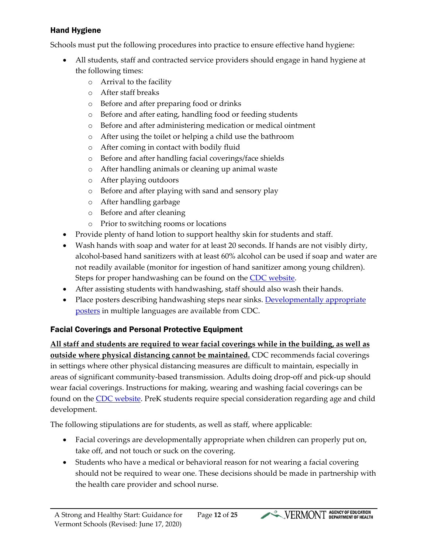#### <span id="page-11-0"></span>Hand Hygiene

Schools must put the following procedures into practice to ensure effective hand hygiene:

- All students, staff and contracted service providers should engage in hand hygiene at the following times:
	- o Arrival to the facility
	- o After staff breaks
	- o Before and after preparing food or drinks
	- o Before and after eating, handling food or feeding students
	- o Before and after administering medication or medical ointment
	- o After using the toilet or helping a child use the bathroom
	- o After coming in contact with bodily fluid
	- o Before and after handling facial coverings/face shields
	- o After handling animals or cleaning up animal waste
	- o After playing outdoors
	- o Before and after playing with sand and sensory play
	- o After handling garbage
	- o Before and after cleaning
	- o Prior to switching rooms or locations
- Provide plenty of hand lotion to support healthy skin for students and staff.
- Wash hands with soap and water for at least 20 seconds. If hands are not visibly dirty, alcohol-based hand sanitizers with at least 60% alcohol can be used if soap and water are not readily available (monitor for ingestion of hand sanitizer among young children). Steps for proper handwashing can be found on the [CDC website.](https://www.cdc.gov/handwashing/when-how-handwashing.html)
- After assisting students with handwashing, staff should also wash their hands.
- Place posters describing handwashing steps near sinks. Developmentally appropriate [posters](https://www.cdc.gov/handwashing/posters.html) in multiple languages are available from CDC.

## <span id="page-11-1"></span>Facial Coverings and Personal Protective Equipment

**All staff and students are required to wear facial coverings while in the building, as well as outside where physical distancing cannot be maintained.** CDC recommends facial coverings in settings where other physical distancing measures are difficult to maintain, especially in areas of significant community-based transmission. Adults doing drop-off and pick-up should wear facial coverings. Instructions for making, wearing and washing facial coverings can be found on the [CDC website.](https://www.cdc.gov/coronavirus/2019-ncov/prevent-getting-sick/diy-cloth-face-coverings.html) PreK students require special consideration regarding age and child development.

The following stipulations are for students, as well as staff, where applicable:

- Facial coverings are developmentally appropriate when children can properly put on, take off, and not touch or suck on the covering.
- Students who have a medical or behavioral reason for not wearing a facial covering should not be required to wear one. These decisions should be made in partnership with the health care provider and school nurse.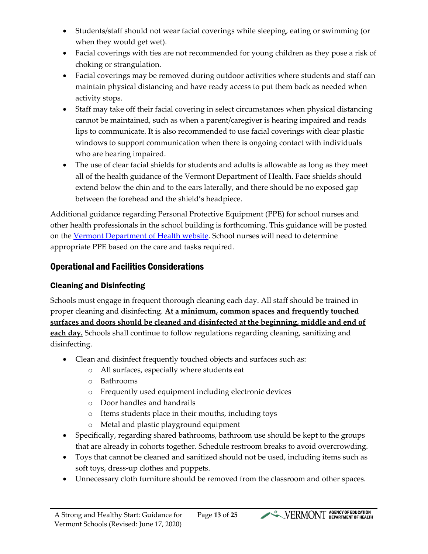- Students/staff should not wear facial coverings while sleeping, eating or swimming (or when they would get wet).
- Facial coverings with ties are not recommended for young children as they pose a risk of choking or strangulation.
- Facial coverings may be removed during outdoor activities where students and staff can maintain physical distancing and have ready access to put them back as needed when activity stops.
- Staff may take off their facial covering in select circumstances when physical distancing cannot be maintained, such as when a parent/caregiver is hearing impaired and reads lips to communicate. It is also recommended to use facial coverings with clear plastic windows to support communication when there is ongoing contact with individuals who are hearing impaired.
- The use of clear facial shields for students and adults is allowable as long as they meet all of the health guidance of the Vermont Department of Health. Face shields should extend below the chin and to the ears laterally, and there should be no exposed gap between the forehead and the shield's headpiece.

Additional guidance regarding Personal Protective Equipment (PPE) for school nurses and other health professionals in the school building is forthcoming. This guidance will be posted on the [Vermont Department of Health website.](https://www.healthvermont.gov/response/infectious-disease/novel-coronavirus-covid-19-health-care-professionals) School nurses will need to determine appropriate PPE based on the care and tasks required.

## <span id="page-12-0"></span>Operational and Facilities Considerations

## <span id="page-12-1"></span>Cleaning and Disinfecting

Schools must engage in frequent thorough cleaning each day. All staff should be trained in proper cleaning and disinfecting. **At a minimum, common spaces and frequently touched surfaces and doors should be cleaned and disinfected at the beginning, middle and end of each day.** Schools shall continue to follow regulations regarding cleaning, sanitizing and disinfecting.

- Clean and disinfect frequently touched objects and surfaces such as:
	- o All surfaces, especially where students eat
	- o Bathrooms
	- o Frequently used equipment including electronic devices
	- o Door handles and handrails
	- o Items students place in their mouths, including toys
	- o Metal and plastic playground equipment
- Specifically, regarding shared bathrooms, bathroom use should be kept to the groups that are already in cohorts together. Schedule restroom breaks to avoid overcrowding.
- Toys that cannot be cleaned and sanitized should not be used, including items such as soft toys, dress-up clothes and puppets.
- Unnecessary cloth furniture should be removed from the classroom and other spaces.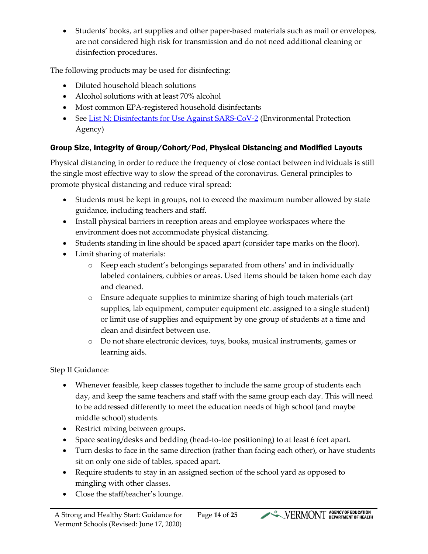• Students' books, art supplies and other paper-based materials such as mail or envelopes, are not considered high risk for transmission and do not need additional cleaning or disinfection procedures.

The following products may be used for disinfecting:

- Diluted household bleach solutions
- Alcohol solutions with at least 70% alcohol
- Most common EPA-registered household disinfectants
- See [List N: Disinfectants for Use Against SARS-CoV-2](https://www.epa.gov/pesticide-registration/list-n-disinfectants-use-against-sars-cov-2) (Environmental Protection Agency)

# <span id="page-13-0"></span>Group Size, Integrity of Group/Cohort/Pod, Physical Distancing and Modified Layouts

Physical distancing in order to reduce the frequency of close contact between individuals is still the single most effective way to slow the spread of the coronavirus. General principles to promote physical distancing and reduce viral spread:

- Students must be kept in groups, not to exceed the maximum number allowed by state guidance, including teachers and staff.
- Install physical barriers in reception areas and employee workspaces where the environment does not accommodate physical distancing.
- Students standing in line should be spaced apart (consider tape marks on the floor).
- Limit sharing of materials:
	- o Keep each student's belongings separated from others' and in individually labeled containers, cubbies or areas. Used items should be taken home each day and cleaned.
	- o Ensure adequate supplies to minimize sharing of high touch materials (art supplies, lab equipment, computer equipment etc. assigned to a single student) or limit use of supplies and equipment by one group of students at a time and clean and disinfect between use.
	- o Do not share electronic devices, toys, books, musical instruments, games or learning aids.

Step II Guidance:

- Whenever feasible, keep classes together to include the same group of students each day, and keep the same teachers and staff with the same group each day. This will need to be addressed differently to meet the education needs of high school (and maybe middle school) students.
- Restrict mixing between groups.
- Space seating/desks and bedding (head-to-toe positioning) to at least 6 feet apart.
- Turn desks to face in the same direction (rather than facing each other), or have students sit on only one side of tables, spaced apart.
- Require students to stay in an assigned section of the school yard as opposed to mingling with other classes.
- Close the staff/teacher's lounge.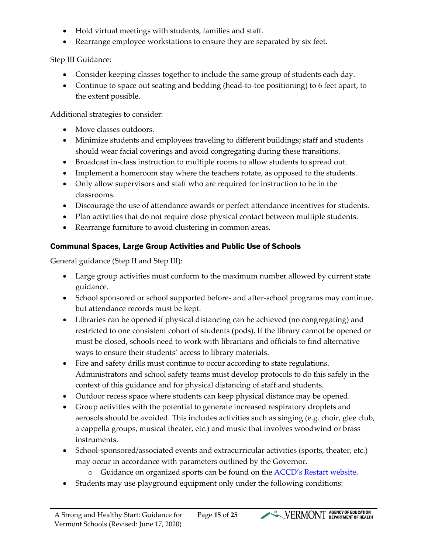- Hold virtual meetings with students, families and staff.
- Rearrange employee workstations to ensure they are separated by six feet.

Step III Guidance:

- Consider keeping classes together to include the same group of students each day.
- Continue to space out seating and bedding (head-to-toe positioning) to 6 feet apart, to the extent possible.

Additional strategies to consider:

- Move classes outdoors.
- Minimize students and employees traveling to different buildings; staff and students should wear facial coverings and avoid congregating during these transitions.
- Broadcast in-class instruction to multiple rooms to allow students to spread out.
- Implement a homeroom stay where the teachers rotate, as opposed to the students.
- Only allow supervisors and staff who are required for instruction to be in the classrooms.
- Discourage the use of attendance awards or perfect attendance incentives for students.
- Plan activities that do not require close physical contact between multiple students.
- Rearrange furniture to avoid clustering in common areas.

## <span id="page-14-0"></span>Communal Spaces, Large Group Activities and Public Use of Schools

General guidance (Step II and Step III):

- Large group activities must conform to the maximum number allowed by current state guidance.
- School sponsored or school supported before- and after-school programs may continue, but attendance records must be kept.
- Libraries can be opened if physical distancing can be achieved (no congregating) and restricted to one consistent cohort of students (pods). If the library cannot be opened or must be closed, schools need to work with librarians and officials to find alternative ways to ensure their students' access to library materials.
- Fire and safety drills must continue to occur according to state regulations. Administrators and school safety teams must develop protocols to do this safely in the context of this guidance and for physical distancing of staff and students.
- Outdoor recess space where students can keep physical distance may be opened.
- Group activities with the potential to generate increased respiratory droplets and aerosols should be avoided. This includes activities such as singing (e.g. choir, glee club, a cappella groups, musical theater, etc.) and music that involves woodwind or brass instruments.
- School-sponsored/associated events and extracurricular activities (sports, theater, etc.) may occur in accordance with parameters outlined by the Governor.
	- o Guidance on organized sports can be found on the **ACCD's Restart website**.
- Students may use playground equipment only under the following conditions: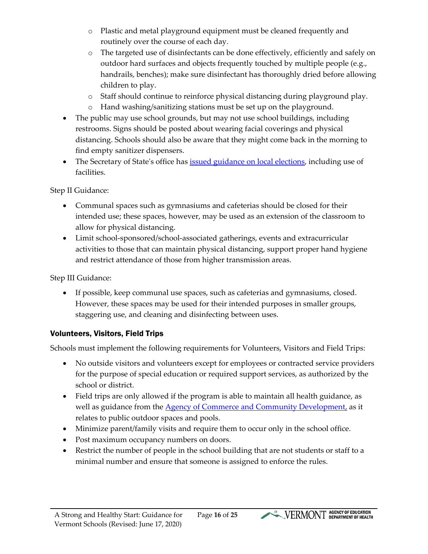- o Plastic and metal playground equipment must be cleaned frequently and routinely over the course of each day.
- o The targeted use of disinfectants can be done effectively, efficiently and safely on outdoor hard surfaces and objects frequently touched by multiple people (e.g., handrails, benches); make sure disinfectant has thoroughly dried before allowing children to play.
- o Staff should continue to reinforce physical distancing during playground play.
- o Hand washing/sanitizing stations must be set up on the playground.
- The public may use school grounds, but may not use school buildings, including restrooms. Signs should be posted about wearing facial coverings and physical distancing. Schools should also be aware that they might come back in the morning to find empty sanitizer dispensers.
- The Secretary of State's office has *issued guidance on local elections*, including use of facilities.

Step II Guidance:

- Communal spaces such as gymnasiums and cafeterias should be closed for their intended use; these spaces, however, may be used as an extension of the classroom to allow for physical distancing.
- Limit school-sponsored/school-associated gatherings, events and extracurricular activities to those that can maintain physical distancing, support proper hand hygiene and restrict attendance of those from higher transmission areas.

Step III Guidance:

• If possible, keep communal use spaces, such as cafeterias and gymnasiums, closed. However, these spaces may be used for their intended purposes in smaller groups, staggering use, and cleaning and disinfecting between uses.

### <span id="page-15-0"></span>Volunteers, Visitors, Field Trips

Schools must implement the following requirements for Volunteers, Visitors and Field Trips:

- No outside visitors and volunteers except for employees or contracted service providers for the purpose of special education or required support services, as authorized by the school or district.
- Field trips are only allowed if the program is able to maintain all health guidance, as well as guidance from the [Agency of Commerce and Community Development,](https://accd.vermont.gov/news/update-new-work-safe-additions-be-smart-stay-safe-order) as it relates to public outdoor spaces and pools.
- Minimize parent/family visits and require them to occur only in the school office.
- Post maximum occupancy numbers on doors.
- Restrict the number of people in the school building that are not students or staff to a minimal number and ensure that someone is assigned to enforce the rules.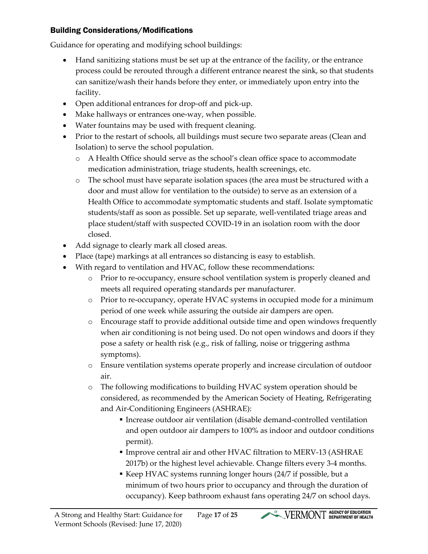#### <span id="page-16-0"></span>Building Considerations/Modifications

Guidance for operating and modifying school buildings:

- Hand sanitizing stations must be set up at the entrance of the facility, or the entrance process could be rerouted through a different entrance nearest the sink, so that students can sanitize/wash their hands before they enter, or immediately upon entry into the facility.
- Open additional entrances for drop-off and pick-up.
- Make hallways or entrances one-way, when possible.
- Water fountains may be used with frequent cleaning.
- Prior to the restart of schools, all buildings must secure two separate areas (Clean and Isolation) to serve the school population.
	- o A Health Office should serve as the school's clean office space to accommodate medication administration, triage students, health screenings, etc.
	- o The school must have separate isolation spaces (the area must be structured with a door and must allow for ventilation to the outside) to serve as an extension of a Health Office to accommodate symptomatic students and staff. Isolate symptomatic students/staff as soon as possible. Set up separate, well-ventilated triage areas and place student/staff with suspected COVID-19 in an isolation room with the door closed.
- Add signage to clearly mark all closed areas.
- Place (tape) markings at all entrances so distancing is easy to establish.
- With regard to ventilation and HVAC, follow these recommendations:
	- o Prior to re-occupancy, ensure school ventilation system is properly cleaned and meets all required operating standards per manufacturer.
	- o Prior to re-occupancy, operate HVAC systems in occupied mode for a minimum period of one week while assuring the outside air dampers are open.
	- o Encourage staff to provide additional outside time and open windows frequently when air conditioning is not being used. Do not open windows and doors if they pose a safety or health risk (e.g., risk of falling, noise or triggering asthma symptoms).
	- o Ensure ventilation systems operate properly and increase circulation of outdoor air.
	- o The following modifications to building HVAC system operation should be considered, as recommended by the American Society of Heating, Refrigerating and Air-Conditioning Engineers (ASHRAE):
		- Increase outdoor air ventilation (disable demand-controlled ventilation and open outdoor air dampers to 100% as indoor and outdoor conditions permit).
		- Improve central air and other HVAC filtration to MERV-13 (ASHRAE 2017b) or the highest level achievable. Change filters every 3-4 months.
		- Keep HVAC systems running longer hours (24/7 if possible, but a minimum of two hours prior to occupancy and through the duration of occupancy). Keep bathroom exhaust fans operating 24/7 on school days.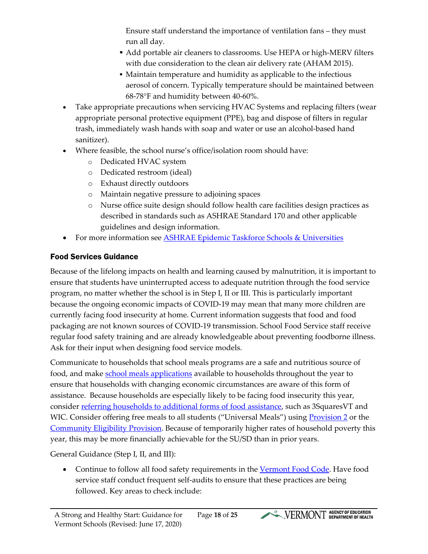Ensure staff understand the importance of ventilation fans – they must run all day.

- Add portable air cleaners to classrooms. Use HEPA or high-MERV filters with due consideration to the clean air delivery rate (AHAM 2015).
- Maintain temperature and humidity as applicable to the infectious aerosol of concern. Typically temperature should be maintained between 68-78°F and humidity between 40-60%.
- Take appropriate precautions when servicing HVAC Systems and replacing filters (wear appropriate personal protective equipment (PPE), bag and dispose of filters in regular trash, immediately wash hands with soap and water or use an alcohol-based hand sanitizer).
- Where feasible, the school nurse's office/isolation room should have:
	- o Dedicated HVAC system
	- o Dedicated restroom (ideal)
	- o Exhaust directly outdoors
	- o Maintain negative pressure to adjoining spaces
	- o Nurse office suite design should follow health care facilities design practices as described in standards such as ASHRAE Standard 170 and other applicable guidelines and design information.
- For more information see [ASHRAE Epidemic Taskforce Schools & Universities](https://www.ashrae.org/file%20library/technical%20resources/covid-19/ashrae-reopening-schools.pdf)

# <span id="page-17-0"></span>Food Services Guidance

Because of the lifelong impacts on health and learning caused by malnutrition, it is important to ensure that students have uninterrupted access to adequate nutrition through the food service program, no matter whether the school is in Step I, II or III. This is particularly important because the ongoing economic impacts of COVID-19 may mean that many more children are currently facing food insecurity at home. Current information suggests that food and food packaging are not known sources of COVID-19 transmission. School Food Service staff receive regular food safety training and are already knowledgeable about preventing foodborne illness. Ask for their input when designing food service models.

Communicate to households that school meals programs are a safe and nutritious source of food, and make [school meals applications](https://education.vermont.gov/student-support/nutrition/school-meals-information-for-families-and-caregivers/apply-for-free-and-reduced-lunch) available to households throughout the year to ensure that households with changing economic circumstances are aware of this form of assistance. Because households are especially likely to be facing food insecurity this year, consider [referring households to additional forms of food assistance,](https://static1.squarespace.com/static/586e858220099e929f5eca70/t/5ee24fa662b4773271ab84f1/1591889830309/COVID-19-handout+V4.pdf) such as 3SquaresVT and WIC. Consider offering free meals to all students ("Universal Meals") using [Provision 2](https://fns-prod.azureedge.net/sites/default/files/Prov2Guidance.pdf) or the [Community Eligibility Provision.](https://education.vermont.gov/student-support/nutrition/school-programs/community-eligibility-program) Because of temporarily higher rates of household poverty this year, this may be more financially achievable for the SU/SD than in prior years.

General Guidance (Step I, II, and III):

• Continue to follow all food safety requirements in the [Vermont Food Code.](https://www.healthvermont.gov/sites/default/files/documents/2016/12/REG_food-service-establishments.pdf) Have food service staff conduct frequent self-audits to ensure that these practices are being followed. Key areas to check include: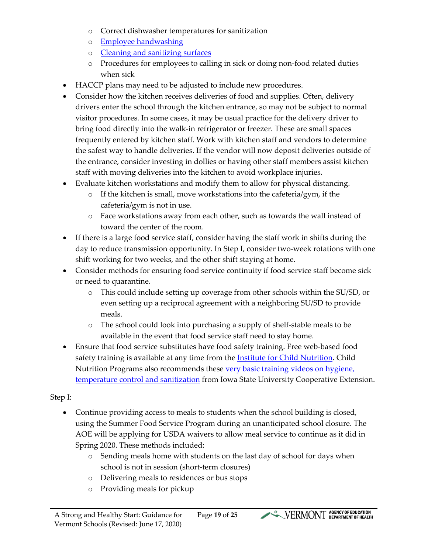- o Correct dishwasher temperatures for sanitization
- o [Employee handwashing](https://www.youtube.com/watch?v=b02Cvw9tOOA&feature=youtu.be)
- o [Cleaning and sanitizing surfaces](https://youtu.be/r0sWf0jf6T4)
- o Procedures for employees to calling in sick or doing non-food related duties when sick
- HACCP plans may need to be adjusted to include new procedures.
- Consider how the kitchen receives deliveries of food and supplies. Often, delivery drivers enter the school through the kitchen entrance, so may not be subject to normal visitor procedures. In some cases, it may be usual practice for the delivery driver to bring food directly into the walk-in refrigerator or freezer. These are small spaces frequently entered by kitchen staff. Work with kitchen staff and vendors to determine the safest way to handle deliveries. If the vendor will now deposit deliveries outside of the entrance, consider investing in dollies or having other staff members assist kitchen staff with moving deliveries into the kitchen to avoid workplace injuries.
- Evaluate kitchen workstations and modify them to allow for physical distancing.
	- o If the kitchen is small, move workstations into the cafeteria/gym, if the cafeteria/gym is not in use.
	- o Face workstations away from each other, such as towards the wall instead of toward the center of the room.
- If there is a large food service staff, consider having the staff work in shifts during the day to reduce transmission opportunity. In Step I, consider two-week rotations with one shift working for two weeks, and the other shift staying at home.
- Consider methods for ensuring food service continuity if food service staff become sick or need to quarantine.
	- o This could include setting up coverage from other schools within the SU/SD, or even setting up a reciprocal agreement with a neighboring SU/SD to provide meals.
	- o The school could look into purchasing a supply of shelf-stable meals to be available in the event that food service staff need to stay home.
- Ensure that food service substitutes have food safety training. Free web-based food safety training is available at any time from the **Institute for Child Nutrition**. Child Nutrition Programs also recommends these very basic training videos on hygiene, [temperature control and sanitization](https://www.extension.iastate.edu/foodsafety/foodservice-employee-training) from Iowa State University Cooperative Extension.

#### Step I:

- Continue providing access to meals to students when the school building is closed, using the Summer Food Service Program during an unanticipated school closure. The AOE will be applying for USDA waivers to allow meal service to continue as it did in Spring 2020. These methods included:
	- o Sending meals home with students on the last day of school for days when school is not in session (short-term closures)
	- o Delivering meals to residences or bus stops
	- o Providing meals for pickup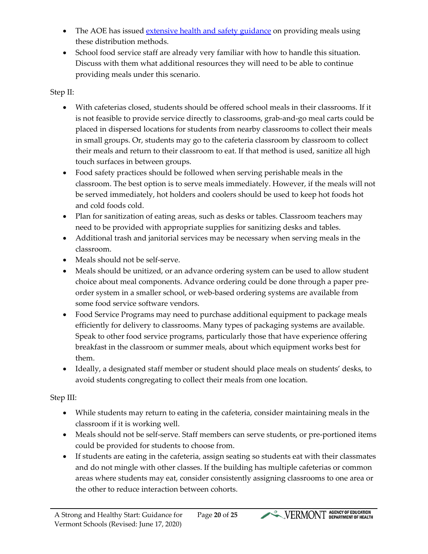- The AOE has issued [extensive health and safety guidance](https://education.vermont.gov/covid19#nutrition) on providing meals using these distribution methods.
- School food service staff are already very familiar with how to handle this situation. Discuss with them what additional resources they will need to be able to continue providing meals under this scenario.

#### Step II:

- With cafeterias closed, students should be offered school meals in their classrooms. If it is not feasible to provide service directly to classrooms, grab-and-go meal carts could be placed in dispersed locations for students from nearby classrooms to collect their meals in small groups. Or, students may go to the cafeteria classroom by classroom to collect their meals and return to their classroom to eat. If that method is used, sanitize all high touch surfaces in between groups.
- Food safety practices should be followed when serving perishable meals in the classroom. The best option is to serve meals immediately. However, if the meals will not be served immediately, hot holders and coolers should be used to keep hot foods hot and cold foods cold.
- Plan for sanitization of eating areas, such as desks or tables. Classroom teachers may need to be provided with appropriate supplies for sanitizing desks and tables.
- Additional trash and janitorial services may be necessary when serving meals in the classroom.
- Meals should not be self-serve.
- Meals should be unitized, or an advance ordering system can be used to allow student choice about meal components. Advance ordering could be done through a paper preorder system in a smaller school, or web-based ordering systems are available from some food service software vendors.
- Food Service Programs may need to purchase additional equipment to package meals efficiently for delivery to classrooms. Many types of packaging systems are available. Speak to other food service programs, particularly those that have experience offering breakfast in the classroom or summer meals, about which equipment works best for them.
- Ideally, a designated staff member or student should place meals on students' desks, to avoid students congregating to collect their meals from one location.

#### Step III:

- While students may return to eating in the cafeteria, consider maintaining meals in the classroom if it is working well.
- Meals should not be self-serve. Staff members can serve students, or pre-portioned items could be provided for students to choose from.
- If students are eating in the cafeteria, assign seating so students eat with their classmates and do not mingle with other classes. If the building has multiple cafeterias or common areas where students may eat, consider consistently assigning classrooms to one area or the other to reduce interaction between cohorts.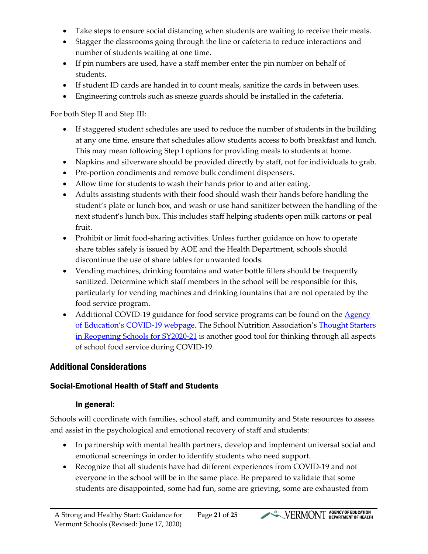- Take steps to ensure social distancing when students are waiting to receive their meals.
- Stagger the classrooms going through the line or cafeteria to reduce interactions and number of students waiting at one time.
- If pin numbers are used, have a staff member enter the pin number on behalf of students.
- If student ID cards are handed in to count meals, sanitize the cards in between uses.
- Engineering controls such as sneeze guards should be installed in the cafeteria.

For both Step II and Step III:

- If staggered student schedules are used to reduce the number of students in the building at any one time, ensure that schedules allow students access to both breakfast and lunch. This may mean following Step I options for providing meals to students at home.
- Napkins and silverware should be provided directly by staff, not for individuals to grab.
- Pre-portion condiments and remove bulk condiment dispensers.
- Allow time for students to wash their hands prior to and after eating.
- Adults assisting students with their food should wash their hands before handling the student's plate or lunch box, and wash or use hand sanitizer between the handling of the next student's lunch box. This includes staff helping students open milk cartons or peal fruit.
- Prohibit or limit food-sharing activities. Unless further guidance on how to operate share tables safely is issued by AOE and the Health Department, schools should discontinue the use of share tables for unwanted foods.
- Vending machines, drinking fountains and water bottle fillers should be frequently sanitized. Determine which staff members in the school will be responsible for this, particularly for vending machines and drinking fountains that are not operated by the food service program.
- Additional COVID-19 guidance for food service programs can be found on the Agency [of Education's COVID-19 webpage.](https://education.vermont.gov/news/covid-19-guidance-vermont-schools#nutrition) The School Nutrition Association's [Thought Starters](https://schoolnutrition.org/uploadedFiles/11COVID-19/3_Webinar_Series_and_Other_Resources/COVID-19-Thought-Starters-on-Reopening-Schools-for-SY2020-21.pdf)  [in Reopening Schools for SY2020-21](https://schoolnutrition.org/uploadedFiles/11COVID-19/3_Webinar_Series_and_Other_Resources/COVID-19-Thought-Starters-on-Reopening-Schools-for-SY2020-21.pdf) is another good tool for thinking through all aspects of school food service during COVID-19.

# <span id="page-20-0"></span>Additional Considerations

### <span id="page-20-1"></span>Social-Emotional Health of Staff and Students

### In general:

Schools will coordinate with families, school staff, and community and State resources to assess and assist in the psychological and emotional recovery of staff and students:

- In partnership with mental health partners, develop and implement universal social and emotional screenings in order to identify students who need support.
- Recognize that all students have had different experiences from COVID-19 and not everyone in the school will be in the same place. Be prepared to validate that some students are disappointed, some had fun, some are grieving, some are exhausted from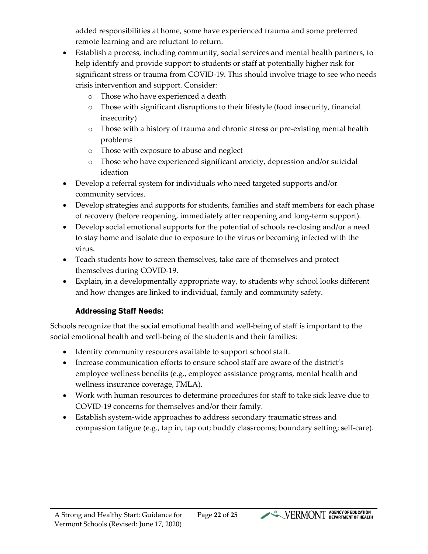added responsibilities at home, some have experienced trauma and some preferred remote learning and are reluctant to return.

- Establish a process, including community, social services and mental health partners, to help identify and provide support to students or staff at potentially higher risk for significant stress or trauma from COVID-19. This should involve triage to see who needs crisis intervention and support. Consider:
	- o Those who have experienced a death
	- o Those with significant disruptions to their lifestyle (food insecurity, financial insecurity)
	- o Those with a history of trauma and chronic stress or pre-existing mental health problems
	- o Those with exposure to abuse and neglect
	- o Those who have experienced significant anxiety, depression and/or suicidal ideation
- Develop a referral system for individuals who need targeted supports and/or community services.
- Develop strategies and supports for students, families and staff members for each phase of recovery (before reopening, immediately after reopening and long-term support).
- Develop social emotional supports for the potential of schools re-closing and/or a need to stay home and isolate due to exposure to the virus or becoming infected with the virus.
- Teach students how to screen themselves, take care of themselves and protect themselves during COVID-19.
- Explain, in a developmentally appropriate way, to students why school looks different and how changes are linked to individual, family and community safety.

### Addressing Staff Needs:

Schools recognize that the social emotional health and well-being of staff is important to the social emotional health and well-being of the students and their families:

- Identify community resources available to support school staff.
- Increase communication efforts to ensure school staff are aware of the district's employee wellness benefits (e.g., employee assistance programs, mental health and wellness insurance coverage, FMLA).
- Work with human resources to determine procedures for staff to take sick leave due to COVID-19 concerns for themselves and/or their family.
- Establish system-wide approaches to address secondary traumatic stress and compassion fatigue (e.g., tap in, tap out; buddy classrooms; boundary setting; self-care).

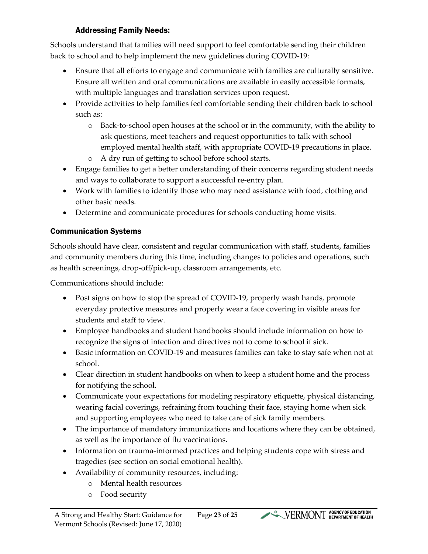#### Addressing Family Needs:

Schools understand that families will need support to feel comfortable sending their children back to school and to help implement the new guidelines during COVID-19:

- Ensure that all efforts to engage and communicate with families are culturally sensitive. Ensure all written and oral communications are available in easily accessible formats, with multiple languages and translation services upon request.
- Provide activities to help families feel comfortable sending their children back to school such as:
	- o Back-to-school open houses at the school or in the community, with the ability to ask questions, meet teachers and request opportunities to talk with school employed mental health staff, with appropriate COVID-19 precautions in place.
	- o A dry run of getting to school before school starts.
- Engage families to get a better understanding of their concerns regarding student needs and ways to collaborate to support a successful re-entry plan.
- Work with families to identify those who may need assistance with food, clothing and other basic needs.
- Determine and communicate procedures for schools conducting home visits.

### <span id="page-22-0"></span>Communication Systems

Schools should have clear, consistent and regular communication with staff, students, families and community members during this time, including changes to policies and operations, such as health screenings, drop-off/pick-up, classroom arrangements, etc.

Communications should include:

- Post signs on how to stop the spread of COVID-19, properly wash hands, promote everyday protective measures and properly wear a face covering in visible areas for students and staff to view.
- Employee handbooks and student handbooks should include information on how to recognize the signs of infection and directives not to come to school if sick.
- Basic information on COVID-19 and measures families can take to stay safe when not at school.
- Clear direction in student handbooks on when to keep a student home and the process for notifying the school.
- Communicate your expectations for modeling respiratory etiquette, physical distancing, wearing facial coverings, refraining from touching their face, staying home when sick and supporting employees who need to take care of sick family members.
- The importance of mandatory immunizations and locations where they can be obtained, as well as the importance of flu vaccinations.
- Information on trauma-informed practices and helping students cope with stress and tragedies (see section on social emotional health).
- Availability of community resources, including:
	- o Mental health resources
	- o Food security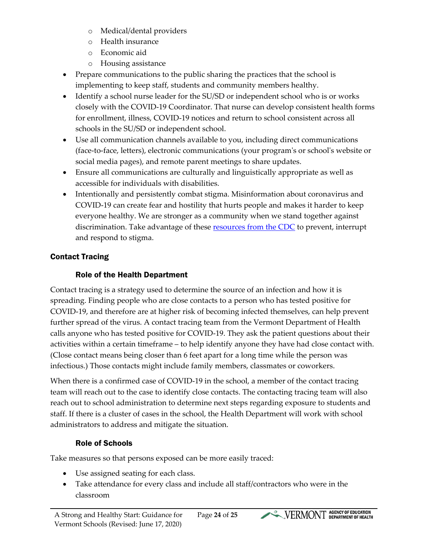- o Medical/dental providers
- o Health insurance
- o Economic aid
- o Housing assistance
- Prepare communications to the public sharing the practices that the school is implementing to keep staff, students and community members healthy.
- Identify a school nurse leader for the SU/SD or independent school who is or works closely with the COVID-19 Coordinator. That nurse can develop consistent health forms for enrollment, illness, COVID-19 notices and return to school consistent across all schools in the SU/SD or independent school.
- Use all communication channels available to you, including direct communications (face-to-face, letters), electronic communications (your program's or school's website or social media pages), and remote parent meetings to share updates.
- Ensure all communications are culturally and linguistically appropriate as well as accessible for individuals with disabilities.
- Intentionally and persistently combat stigma. Misinformation about coronavirus and COVID-19 can create fear and hostility that hurts people and makes it harder to keep everyone healthy. We are stronger as a community when we stand together against discrimination. Take advantage of these [resources from the CDC](https://www.cdc.gov/coronavirus/2019-ncov/about/related-stigma.html) to prevent, interrupt and respond to stigma.

# <span id="page-23-0"></span>Contact Tracing

# Role of the Health Department

Contact tracing is a strategy used to determine the source of an infection and how it is spreading. Finding people who are close contacts to a person who has tested positive for COVID-19, and therefore are at higher risk of becoming infected themselves, can help prevent further spread of the virus. A contact tracing team from the Vermont Department of Health calls anyone who has tested positive for COVID-19. They ask the patient questions about their activities within a certain timeframe – to help identify anyone they have had close contact with. (Close contact means being closer than 6 feet apart for a long time while the person was infectious.) Those contacts might include family members, classmates or coworkers.

When there is a confirmed case of COVID-19 in the school, a member of the contact tracing team will reach out to the case to identify close contacts. The contacting tracing team will also reach out to school administration to determine next steps regarding exposure to students and staff. If there is a cluster of cases in the school, the Health Department will work with school administrators to address and mitigate the situation.

## Role of Schools

Take measures so that persons exposed can be more easily traced:

- Use assigned seating for each class.
- Take attendance for every class and include all staff/contractors who were in the classroom